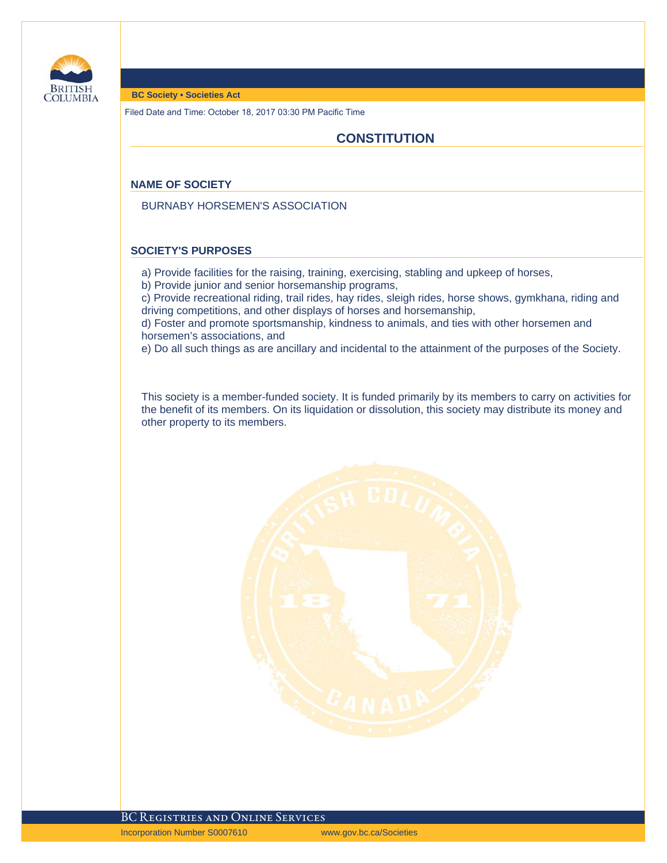

#### **BC Society • Societies Act**

Filed Date and Time: October 18, 2017 03:30 PM Pacific Time

# **CONSTITUTION**

#### **NAME OF SOCIETY**

BURNABY HORSEMEN'S ASSOCIATION

#### **SOCIETY'S PURPOSES**

- a) Provide facilities for the raising, training, exercising, stabling and upkeep of horses,
- b) Provide junior and senior horsemanship programs,

c) Provide recreational riding, trail rides, hay rides, sleigh rides, horse shows, gymkhana, riding and driving competitions, and other displays of horses and horsemanship,

d) Foster and promote sportsmanship, kindness to animals, and ties with other horsemen and horsemen's associations, and

e) Do all such things as are ancillary and incidental to the attainment of the purposes of the Society.

This society is a member-funded society. It is funded primarily by its members to carry on activities for the benefit of its members. On its liquidation or dissolution, this society may distribute its money and other property to its members.

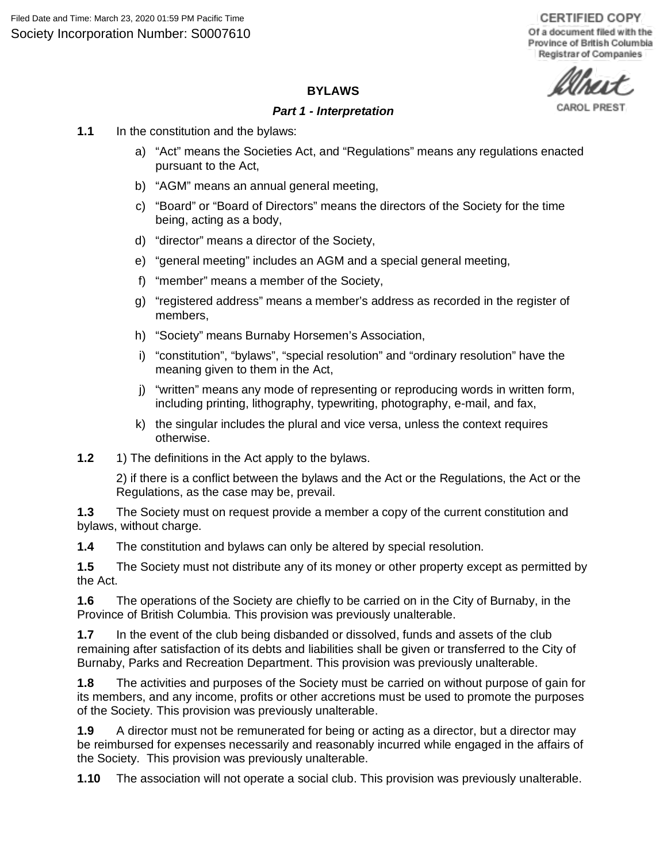**CERTIFIED COPY** Of a document filed with the Province of British Columbia Registrar of Companies

CAROL PRES

### **BYLAWS**

### *Part 1 - Interpretation*

- **1.1** In the constitution and the bylaws:
	- a) "Act" means the Societies Act, and "Regulations" means any regulations enacted pursuant to the Act,
	- b) "AGM" means an annual general meeting,
	- c) "Board" or "Board of Directors" means the directors of the Society for the time being, acting as a body,
	- d) "director" means a director of the Society,
	- e) "general meeting" includes an AGM and a special general meeting,
	- f) "member" means a member of the Society,
	- g) "registered address" means a member's address as recorded in the register of members,
	- h) "Society" means Burnaby Horsemen's Association,
	- i) "constitution", "bylaws", "special resolution" and "ordinary resolution" have the meaning given to them in the Act,
	- j) "written" means any mode of representing or reproducing words in written form, including printing, lithography, typewriting, photography, e-mail, and fax,
	- k) the singular includes the plural and vice versa, unless the context requires otherwise.
- **1.2** 1) The definitions in the Act apply to the bylaws.

2) if there is a conflict between the bylaws and the Act or the Regulations, the Act or the Regulations, as the case may be, prevail.

**1.3** The Society must on request provide a member a copy of the current constitution and bylaws, without charge.

**1.4** The constitution and bylaws can only be altered by special resolution.

**1.5** The Society must not distribute any of its money or other property except as permitted by the Act.

**1.6** The operations of the Society are chiefly to be carried on in the City of Burnaby, in the Province of British Columbia. This provision was previously unalterable.

**1.7** In the event of the club being disbanded or dissolved, funds and assets of the club remaining after satisfaction of its debts and liabilities shall be given or transferred to the City of Burnaby, Parks and Recreation Department. This provision was previously unalterable.

**1.8** The activities and purposes of the Society must be carried on without purpose of gain for its members, and any income, profits or other accretions must be used to promote the purposes of the Society. This provision was previously unalterable.

**1.9** A director must not be remunerated for being or acting as a director, but a director may be reimbursed for expenses necessarily and reasonably incurred while engaged in the affairs of the Society. This provision was previously unalterable.

**1.10** The association will not operate a social club. This provision was previously unalterable.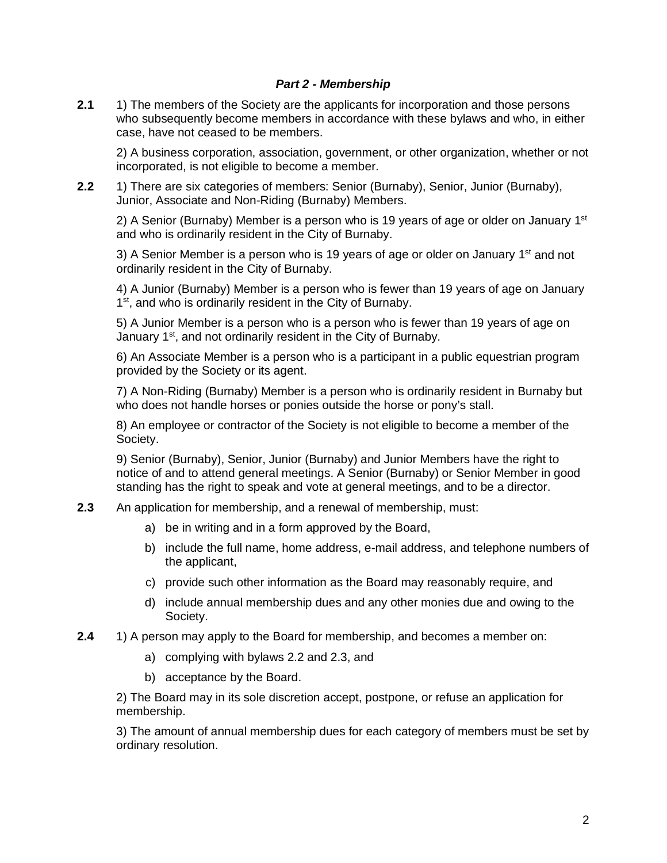## *Part 2 - Membership*

**2.1** 1) The members of the Society are the applicants for incorporation and those persons who subsequently become members in accordance with these bylaws and who, in either case, have not ceased to be members.

2) A business corporation, association, government, or other organization, whether or not incorporated, is not eligible to become a member.

**2.2** 1) There are six categories of members: Senior (Burnaby), Senior, Junior (Burnaby), Junior, Associate and Non-Riding (Burnaby) Members.

2) A Senior (Burnaby) Member is a person who is 19 years of age or older on January  $1<sup>st</sup>$ and who is ordinarily resident in the City of Burnaby.

3) A Senior Member is a person who is 19 years of age or older on January  $1<sup>st</sup>$  and not ordinarily resident in the City of Burnaby.

4) A Junior (Burnaby) Member is a person who is fewer than 19 years of age on January 1<sup>st</sup>, and who is ordinarily resident in the City of Burnaby.

5) A Junior Member is a person who is a person who is fewer than 19 years of age on January 1<sup>st</sup>, and not ordinarily resident in the City of Burnaby.

6) An Associate Member is a person who is a participant in a public equestrian program provided by the Society or its agent.

7) A Non-Riding (Burnaby) Member is a person who is ordinarily resident in Burnaby but who does not handle horses or ponies outside the horse or pony's stall.

8) An employee or contractor of the Society is not eligible to become a member of the Society.

9) Senior (Burnaby), Senior, Junior (Burnaby) and Junior Members have the right to notice of and to attend general meetings. A Senior (Burnaby) or Senior Member in good standing has the right to speak and vote at general meetings, and to be a director.

- **2.3** An application for membership, and a renewal of membership, must:
	- a) be in writing and in a form approved by the Board,
	- b) include the full name, home address, e-mail address, and telephone numbers of the applicant,
	- c) provide such other information as the Board may reasonably require, and
	- d) include annual membership dues and any other monies due and owing to the Society.
- **2.4** 1) A person may apply to the Board for membership, and becomes a member on:
	- a) complying with bylaws 2.2 and 2.3, and
	- b) acceptance by the Board.

2) The Board may in its sole discretion accept, postpone, or refuse an application for membership.

3) The amount of annual membership dues for each category of members must be set by ordinary resolution.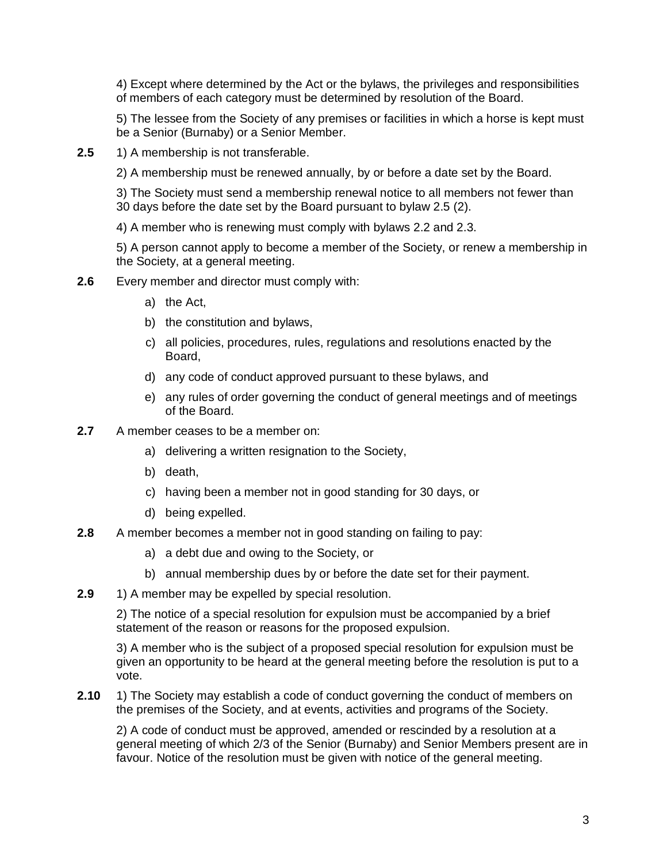4) Except where determined by the Act or the bylaws, the privileges and responsibilities of members of each category must be determined by resolution of the Board.

5) The lessee from the Society of any premises or facilities in which a horse is kept must be a Senior (Burnaby) or a Senior Member.

**2.5** 1) A membership is not transferable.

2) A membership must be renewed annually, by or before a date set by the Board.

3) The Society must send a membership renewal notice to all members not fewer than 30 days before the date set by the Board pursuant to bylaw 2.5 (2).

4) A member who is renewing must comply with bylaws 2.2 and 2.3.

5) A person cannot apply to become a member of the Society, or renew a membership in the Society, at a general meeting.

- **2.6** Every member and director must comply with:
	- a) the Act,
	- b) the constitution and bylaws,
	- c) all policies, procedures, rules, regulations and resolutions enacted by the Board,
	- d) any code of conduct approved pursuant to these bylaws, and
	- e) any rules of order governing the conduct of general meetings and of meetings of the Board.
- **2.7** A member ceases to be a member on:
	- a) delivering a written resignation to the Society,
	- b) death,
	- c) having been a member not in good standing for 30 days, or
	- d) being expelled.
- **2.8** A member becomes a member not in good standing on failing to pay:
	- a) a debt due and owing to the Society, or
	- b) annual membership dues by or before the date set for their payment.
- **2.9** 1) A member may be expelled by special resolution.

2) The notice of a special resolution for expulsion must be accompanied by a brief statement of the reason or reasons for the proposed expulsion.

3) A member who is the subject of a proposed special resolution for expulsion must be given an opportunity to be heard at the general meeting before the resolution is put to a vote.

**2.10** 1) The Society may establish a code of conduct governing the conduct of members on the premises of the Society, and at events, activities and programs of the Society.

2) A code of conduct must be approved, amended or rescinded by a resolution at a general meeting of which 2/3 of the Senior (Burnaby) and Senior Members present are in favour. Notice of the resolution must be given with notice of the general meeting.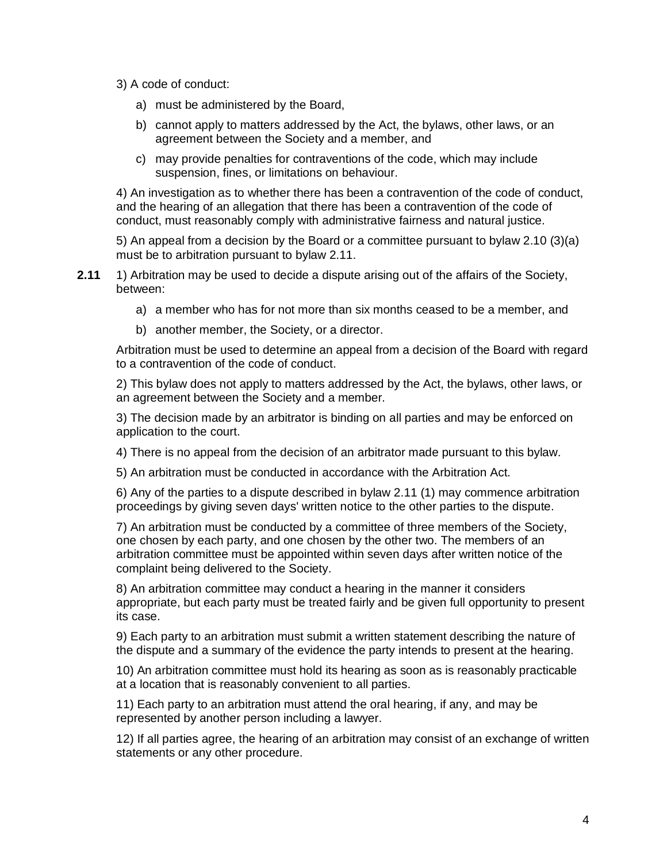- 3) A code of conduct:
	- a) must be administered by the Board,
	- b) cannot apply to matters addressed by the Act, the bylaws, other laws, or an agreement between the Society and a member, and
	- c) may provide penalties for contraventions of the code, which may include suspension, fines, or limitations on behaviour.

4) An investigation as to whether there has been a contravention of the code of conduct, and the hearing of an allegation that there has been a contravention of the code of conduct, must reasonably comply with administrative fairness and natural justice.

5) An appeal from a decision by the Board or a committee pursuant to bylaw 2.10 (3)(a) must be to arbitration pursuant to bylaw 2.11.

- **2.11** 1) Arbitration may be used to decide a dispute arising out of the affairs of the Society, between:
	- a) a member who has for not more than six months ceased to be a member, and
	- b) another member, the Society, or a director.

Arbitration must be used to determine an appeal from a decision of the Board with regard to a contravention of the code of conduct.

2) This bylaw does not apply to matters addressed by the Act, the bylaws, other laws, or an agreement between the Society and a member.

3) The decision made by an arbitrator is binding on all parties and may be enforced on application to the court.

4) There is no appeal from the decision of an arbitrator made pursuant to this bylaw.

5) An arbitration must be conducted in accordance with the Arbitration Act.

6) Any of the parties to a dispute described in bylaw 2.11 (1) may commence arbitration proceedings by giving seven days' written notice to the other parties to the dispute.

7) An arbitration must be conducted by a committee of three members of the Society, one chosen by each party, and one chosen by the other two. The members of an arbitration committee must be appointed within seven days after written notice of the complaint being delivered to the Society.

8) An arbitration committee may conduct a hearing in the manner it considers appropriate, but each party must be treated fairly and be given full opportunity to present its case.

9) Each party to an arbitration must submit a written statement describing the nature of the dispute and a summary of the evidence the party intends to present at the hearing.

10) An arbitration committee must hold its hearing as soon as is reasonably practicable at a location that is reasonably convenient to all parties.

11) Each party to an arbitration must attend the oral hearing, if any, and may be represented by another person including a lawyer.

12) If all parties agree, the hearing of an arbitration may consist of an exchange of written statements or any other procedure.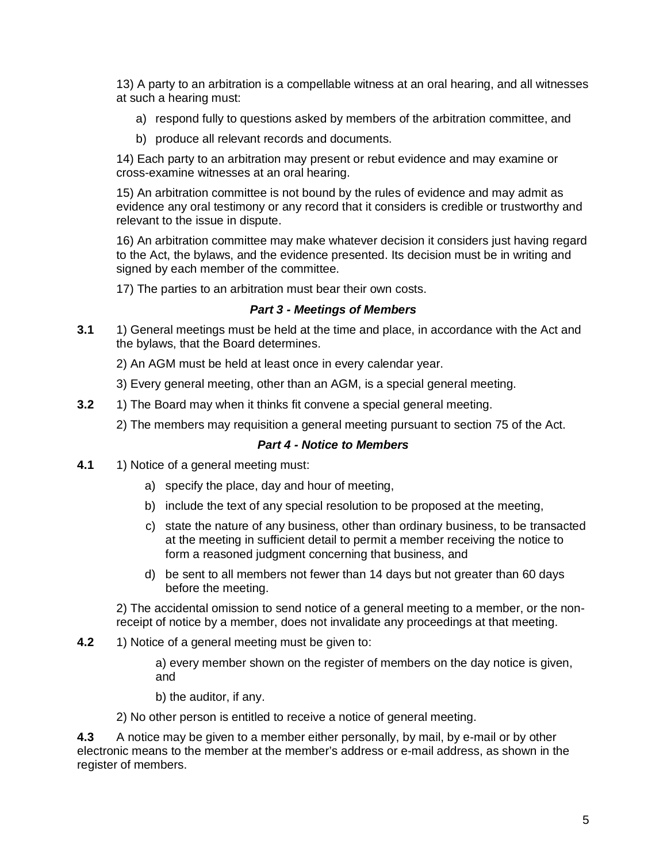13) A party to an arbitration is a compellable witness at an oral hearing, and all witnesses at such a hearing must:

- a) respond fully to questions asked by members of the arbitration committee, and
- b) produce all relevant records and documents.

14) Each party to an arbitration may present or rebut evidence and may examine or cross-examine witnesses at an oral hearing.

15) An arbitration committee is not bound by the rules of evidence and may admit as evidence any oral testimony or any record that it considers is credible or trustworthy and relevant to the issue in dispute.

16) An arbitration committee may make whatever decision it considers just having regard to the Act, the bylaws, and the evidence presented. Its decision must be in writing and signed by each member of the committee.

17) The parties to an arbitration must bear their own costs.

# *Part 3 - Meetings of Members*

**3.1** 1) General meetings must be held at the time and place, in accordance with the Act and the bylaws, that the Board determines.

2) An AGM must be held at least once in every calendar year.

- 3) Every general meeting, other than an AGM, is a special general meeting.
- **3.2** 1) The Board may when it thinks fit convene a special general meeting.
	- 2) The members may requisition a general meeting pursuant to section 75 of the Act.

### *Part 4 - Notice to Members*

- **4.1** 1) Notice of a general meeting must:
	- a) specify the place, day and hour of meeting,
	- b) include the text of any special resolution to be proposed at the meeting,
	- c) state the nature of any business, other than ordinary business, to be transacted at the meeting in sufficient detail to permit a member receiving the notice to form a reasoned judgment concerning that business, and
	- d) be sent to all members not fewer than 14 days but not greater than 60 days before the meeting.

2) The accidental omission to send notice of a general meeting to a member, or the nonreceipt of notice by a member, does not invalidate any proceedings at that meeting.

**4.2** 1) Notice of a general meeting must be given to:

a) every member shown on the register of members on the day notice is given, and

b) the auditor, if any.

2) No other person is entitled to receive a notice of general meeting.

**4.3** A notice may be given to a member either personally, by mail, by e-mail or by other electronic means to the member at the member's address or e-mail address, as shown in the register of members.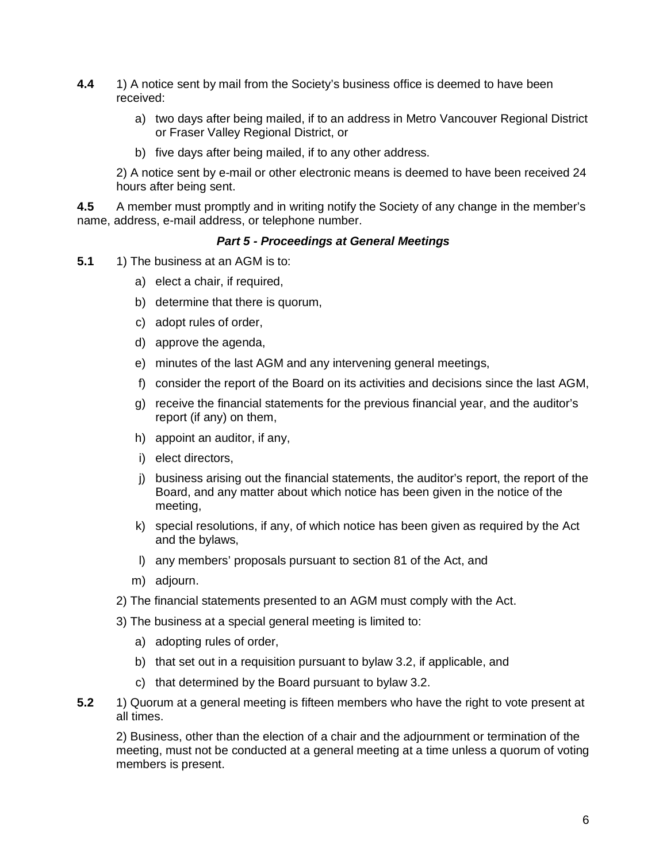- **4.4** 1) A notice sent by mail from the Society's business office is deemed to have been received:
	- a) two days after being mailed, if to an address in Metro Vancouver Regional District or Fraser Valley Regional District, or
	- b) five days after being mailed, if to any other address.

2) A notice sent by e-mail or other electronic means is deemed to have been received 24 hours after being sent.

**4.5** A member must promptly and in writing notify the Society of any change in the member's name, address, e-mail address, or telephone number.

#### *Part 5 - Proceedings at General Meetings*

- **5.1** 1) The business at an AGM is to:
	- a) elect a chair, if required,
	- b) determine that there is quorum,
	- c) adopt rules of order,
	- d) approve the agenda,
	- e) minutes of the last AGM and any intervening general meetings,
	- f) consider the report of the Board on its activities and decisions since the last AGM,
	- g) receive the financial statements for the previous financial year, and the auditor's report (if any) on them,
	- h) appoint an auditor, if any,
	- i) elect directors,
	- j) business arising out the financial statements, the auditor's report, the report of the Board, and any matter about which notice has been given in the notice of the meeting,
	- k) special resolutions, if any, of which notice has been given as required by the Act and the bylaws,
	- l) any members' proposals pursuant to section 81 of the Act, and
	- m) adjourn.
	- 2) The financial statements presented to an AGM must comply with the Act.
	- 3) The business at a special general meeting is limited to:
		- a) adopting rules of order,
		- b) that set out in a requisition pursuant to bylaw 3.2, if applicable, and
		- c) that determined by the Board pursuant to bylaw 3.2.
- **5.2** 1) Quorum at a general meeting is fifteen members who have the right to vote present at all times.

2) Business, other than the election of a chair and the adjournment or termination of the meeting, must not be conducted at a general meeting at a time unless a quorum of voting members is present.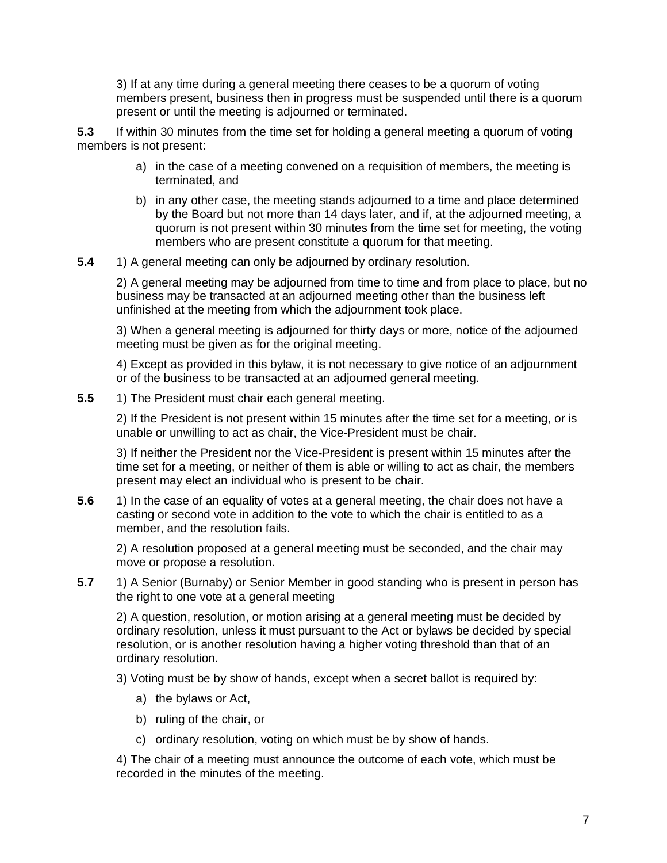3) If at any time during a general meeting there ceases to be a quorum of voting members present, business then in progress must be suspended until there is a quorum present or until the meeting is adjourned or terminated.

**5.3** If within 30 minutes from the time set for holding a general meeting a quorum of voting members is not present:

- a) in the case of a meeting convened on a requisition of members, the meeting is terminated, and
- b) in any other case, the meeting stands adjourned to a time and place determined by the Board but not more than 14 days later, and if, at the adjourned meeting, a quorum is not present within 30 minutes from the time set for meeting, the voting members who are present constitute a quorum for that meeting.
- **5.4** 1) A general meeting can only be adjourned by ordinary resolution.

2) A general meeting may be adjourned from time to time and from place to place, but no business may be transacted at an adjourned meeting other than the business left unfinished at the meeting from which the adjournment took place.

3) When a general meeting is adjourned for thirty days or more, notice of the adjourned meeting must be given as for the original meeting.

4) Except as provided in this bylaw, it is not necessary to give notice of an adjournment or of the business to be transacted at an adjourned general meeting.

**5.5** 1) The President must chair each general meeting.

2) If the President is not present within 15 minutes after the time set for a meeting, or is unable or unwilling to act as chair, the Vice-President must be chair.

3) If neither the President nor the Vice-President is present within 15 minutes after the time set for a meeting, or neither of them is able or willing to act as chair, the members present may elect an individual who is present to be chair.

**5.6** 1) In the case of an equality of votes at a general meeting, the chair does not have a casting or second vote in addition to the vote to which the chair is entitled to as a member, and the resolution fails.

2) A resolution proposed at a general meeting must be seconded, and the chair may move or propose a resolution.

**5.7** 1) A Senior (Burnaby) or Senior Member in good standing who is present in person has the right to one vote at a general meeting

2) A question, resolution, or motion arising at a general meeting must be decided by ordinary resolution, unless it must pursuant to the Act or bylaws be decided by special resolution, or is another resolution having a higher voting threshold than that of an ordinary resolution.

3) Voting must be by show of hands, except when a secret ballot is required by:

- a) the bylaws or Act,
- b) ruling of the chair, or
- c) ordinary resolution, voting on which must be by show of hands.

4) The chair of a meeting must announce the outcome of each vote, which must be recorded in the minutes of the meeting.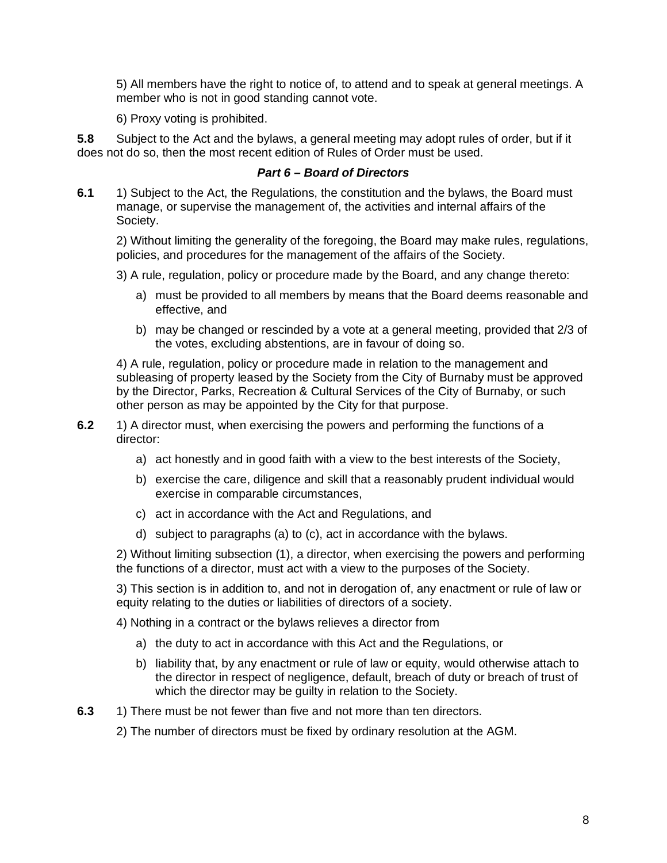5) All members have the right to notice of, to attend and to speak at general meetings. A member who is not in good standing cannot vote.

6) Proxy voting is prohibited.

**5.8** Subject to the Act and the bylaws, a general meeting may adopt rules of order, but if it does not do so, then the most recent edition of Rules of Order must be used.

# *Part 6 – Board of Directors*

**6.1** 1) Subject to the Act, the Regulations, the constitution and the bylaws, the Board must manage, or supervise the management of, the activities and internal affairs of the Society.

2) Without limiting the generality of the foregoing, the Board may make rules, regulations, policies, and procedures for the management of the affairs of the Society.

3) A rule, regulation, policy or procedure made by the Board, and any change thereto:

- a) must be provided to all members by means that the Board deems reasonable and effective, and
- b) may be changed or rescinded by a vote at a general meeting, provided that 2/3 of the votes, excluding abstentions, are in favour of doing so.

4) A rule, regulation, policy or procedure made in relation to the management and subleasing of property leased by the Society from the City of Burnaby must be approved by the Director, Parks, Recreation & Cultural Services of the City of Burnaby, or such other person as may be appointed by the City for that purpose.

- **6.2** 1) A director must, when exercising the powers and performing the functions of a director:
	- a) act honestly and in good faith with a view to the best interests of the Society,
	- b) exercise the care, diligence and skill that a reasonably prudent individual would exercise in comparable circumstances,
	- c) act in accordance with the Act and Regulations, and
	- d) subject to paragraphs (a) to (c), act in accordance with the bylaws.

2) Without limiting subsection (1), a director, when exercising the powers and performing the functions of a director, must act with a view to the purposes of the Society.

3) This section is in addition to, and not in derogation of, any enactment or rule of law or equity relating to the duties or liabilities of directors of a society.

4) Nothing in a contract or the bylaws relieves a director from

- a) the duty to act in accordance with this Act and the Regulations, or
- b) liability that, by any enactment or rule of law or equity, would otherwise attach to the director in respect of negligence, default, breach of duty or breach of trust of which the director may be guilty in relation to the Society.
- **6.3** 1) There must be not fewer than five and not more than ten directors.
	- 2) The number of directors must be fixed by ordinary resolution at the AGM.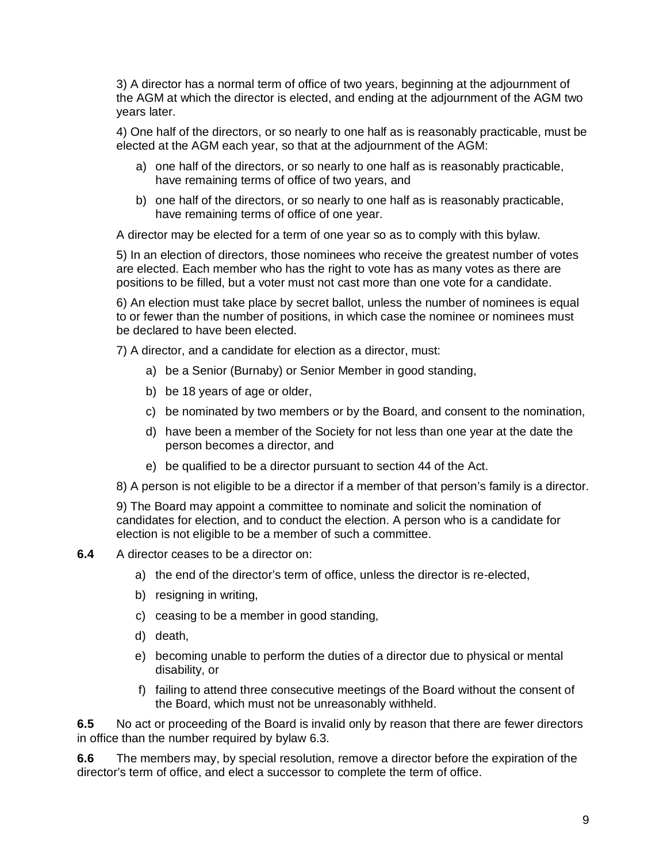3) A director has a normal term of office of two years, beginning at the adjournment of the AGM at which the director is elected, and ending at the adjournment of the AGM two years later.

4) One half of the directors, or so nearly to one half as is reasonably practicable, must be elected at the AGM each year, so that at the adjournment of the AGM:

- a) one half of the directors, or so nearly to one half as is reasonably practicable, have remaining terms of office of two years, and
- b) one half of the directors, or so nearly to one half as is reasonably practicable, have remaining terms of office of one year.

A director may be elected for a term of one year so as to comply with this bylaw.

5) In an election of directors, those nominees who receive the greatest number of votes are elected. Each member who has the right to vote has as many votes as there are positions to be filled, but a voter must not cast more than one vote for a candidate.

6) An election must take place by secret ballot, unless the number of nominees is equal to or fewer than the number of positions, in which case the nominee or nominees must be declared to have been elected.

7) A director, and a candidate for election as a director, must:

- a) be a Senior (Burnaby) or Senior Member in good standing,
- b) be 18 years of age or older,
- c) be nominated by two members or by the Board, and consent to the nomination,
- d) have been a member of the Society for not less than one year at the date the person becomes a director, and
- e) be qualified to be a director pursuant to section 44 of the Act.
- 8) A person is not eligible to be a director if a member of that person's family is a director.

9) The Board may appoint a committee to nominate and solicit the nomination of candidates for election, and to conduct the election. A person who is a candidate for election is not eligible to be a member of such a committee.

#### **6.4** A director ceases to be a director on:

- a) the end of the director's term of office, unless the director is re-elected,
- b) resigning in writing,
- c) ceasing to be a member in good standing,
- d) death,
- e) becoming unable to perform the duties of a director due to physical or mental disability, or
- f) failing to attend three consecutive meetings of the Board without the consent of the Board, which must not be unreasonably withheld.

**6.5** No act or proceeding of the Board is invalid only by reason that there are fewer directors in office than the number required by bylaw 6.3.

**6.6** The members may, by special resolution, remove a director before the expiration of the director's term of office, and elect a successor to complete the term of office.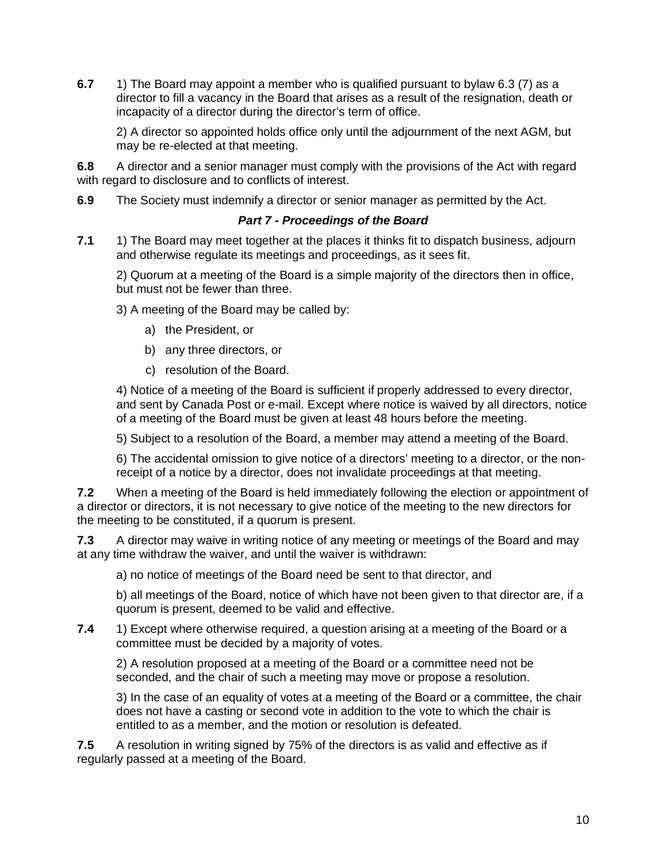**6.7** 1) The Board may appoint a member who is qualified pursuant to bylaw 6.3 (7) as a director to fill a vacancy in the Board that arises as a result of the resignation, death or incapacity of a director during the director's term of office.

2) A director so appointed holds office only until the adjournment of the next AGM, but may be re-elected at that meeting.

**6.8** A director and a senior manager must comply with the provisions of the Act with regard with regard to disclosure and to conflicts of interest.

**6.9** The Society must indemnify a director or senior manager as permitted by the Act.

# *Part 7 - Proceedings of the Board*

**7.1** 1) The Board may meet together at the places it thinks fit to dispatch business, adjourn and otherwise regulate its meetings and proceedings, as it sees fit.

2) Quorum at a meeting of the Board is a simple majority of the directors then in office, but must not be fewer than three.

3) A meeting of the Board may be called by:

- a) the President, or
- b) any three directors, or
- c) resolution of the Board.

4) Notice of a meeting of the Board is sufficient if properly addressed to every director, and sent by Canada Post or e-mail. Except where notice is waived by all directors, notice of a meeting of the Board must be given at least 48 hours before the meeting.

5) Subject to a resolution of the Board, a member may attend a meeting of the Board.

6) The accidental omission to give notice of a directors' meeting to a director, or the nonreceipt of a notice by a director, does not invalidate proceedings at that meeting.

**7.2** When a meeting of the Board is held immediately following the election or appointment of a director or directors, it is not necessary to give notice of the meeting to the new directors for the meeting to be constituted, if a quorum is present.

**7.3** A director may waive in writing notice of any meeting or meetings of the Board and may at any time withdraw the waiver, and until the waiver is withdrawn:

a) no notice of meetings of the Board need be sent to that director, and

b) all meetings of the Board, notice of which have not been given to that director are, if a quorum is present, deemed to be valid and effective.

**7.4** 1) Except where otherwise required, a question arising at a meeting of the Board or a committee must be decided by a majority of votes.

2) A resolution proposed at a meeting of the Board or a committee need not be seconded, and the chair of such a meeting may move or propose a resolution.

3) In the case of an equality of votes at a meeting of the Board or a committee, the chair does not have a casting or second vote in addition to the vote to which the chair is entitled to as a member, and the motion or resolution is defeated.

**7.5** A resolution in writing signed by 75% of the directors is as valid and effective as if regularly passed at a meeting of the Board.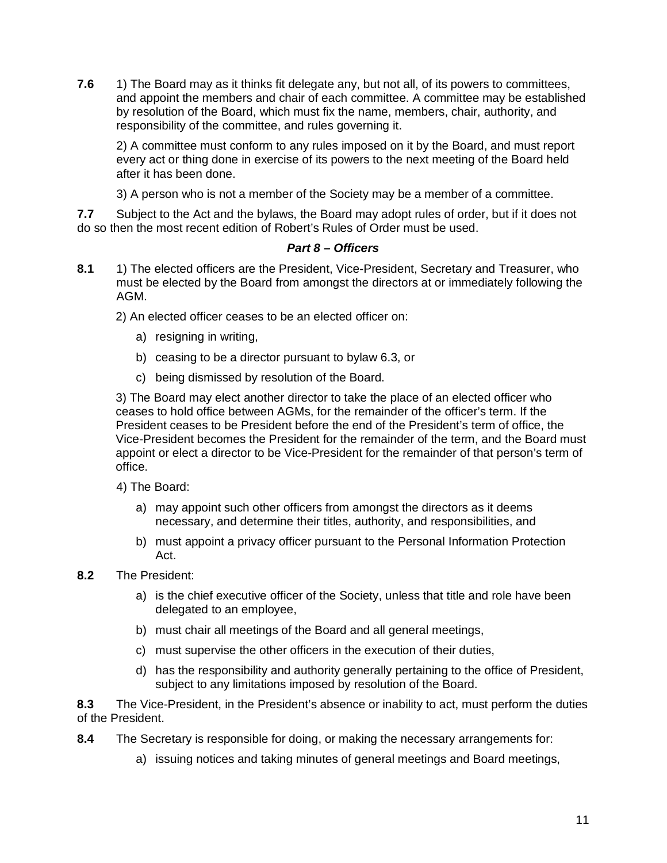**7.6** 1) The Board may as it thinks fit delegate any, but not all, of its powers to committees, and appoint the members and chair of each committee. A committee may be established by resolution of the Board, which must fix the name, members, chair, authority, and responsibility of the committee, and rules governing it.

2) A committee must conform to any rules imposed on it by the Board, and must report every act or thing done in exercise of its powers to the next meeting of the Board held after it has been done.

3) A person who is not a member of the Society may be a member of a committee.

**7.7** Subject to the Act and the bylaws, the Board may adopt rules of order, but if it does not do so then the most recent edition of Robert's Rules of Order must be used.

# *Part 8 – Officers*

**8.1** 1) The elected officers are the President, Vice-President, Secretary and Treasurer, who must be elected by the Board from amongst the directors at or immediately following the AGM.

2) An elected officer ceases to be an elected officer on:

- a) resigning in writing,
- b) ceasing to be a director pursuant to bylaw 6.3, or
- c) being dismissed by resolution of the Board.

3) The Board may elect another director to take the place of an elected officer who ceases to hold office between AGMs, for the remainder of the officer's term. If the President ceases to be President before the end of the President's term of office, the Vice-President becomes the President for the remainder of the term, and the Board must appoint or elect a director to be Vice-President for the remainder of that person's term of office.

- 4) The Board:
	- a) may appoint such other officers from amongst the directors as it deems necessary, and determine their titles, authority, and responsibilities, and
	- b) must appoint a privacy officer pursuant to the Personal Information Protection Act.
- **8.2** The President:
	- a) is the chief executive officer of the Society, unless that title and role have been delegated to an employee,
	- b) must chair all meetings of the Board and all general meetings,
	- c) must supervise the other officers in the execution of their duties,
	- d) has the responsibility and authority generally pertaining to the office of President, subject to any limitations imposed by resolution of the Board.

**8.3** The Vice-President, in the President's absence or inability to act, must perform the duties of the President.

- **8.4** The Secretary is responsible for doing, or making the necessary arrangements for:
	- a) issuing notices and taking minutes of general meetings and Board meetings,